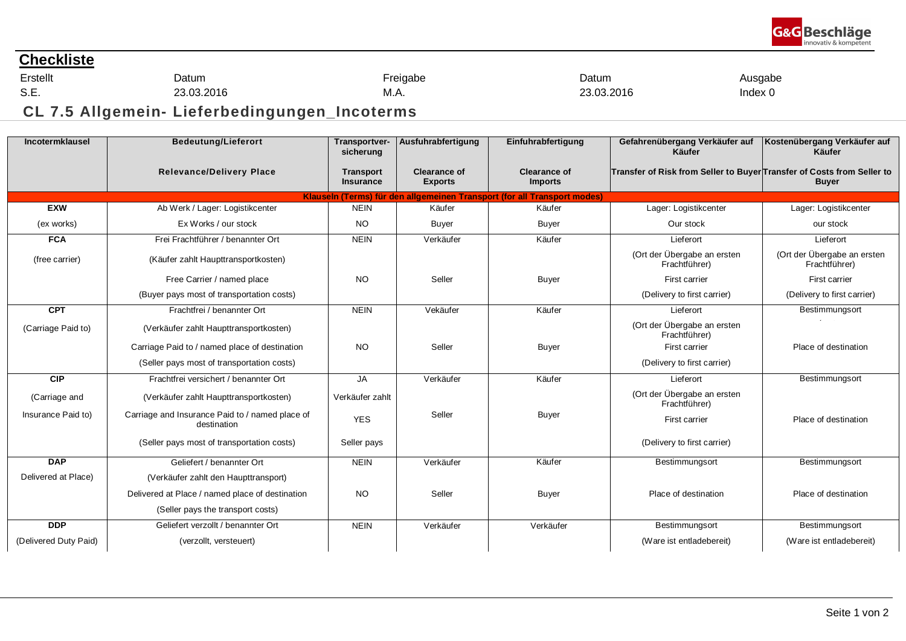

## **Checkliste**

Erstellt S.E.

Datum 23.03.2016

M.A.

Freigabe

Datum

23.03.2016

Ausgabe Index 0

**CL 7.5 Allgemein- Lieferbedingungen\_Incoterms**

| Incotermklausel       | <b>Bedeutung/Lieferort</b>                                     | Transportver-<br>sicherung           | Ausfuhrabfertigung                    | Einfuhrabfertigung                                                       | Gefahrenübergang Verkäufer auf<br>Käufer                               | Kostenübergang Verkäufer auf<br>Käufer       |
|-----------------------|----------------------------------------------------------------|--------------------------------------|---------------------------------------|--------------------------------------------------------------------------|------------------------------------------------------------------------|----------------------------------------------|
|                       | <b>Relevance/Delivery Place</b>                                | <b>Transport</b><br><b>Insurance</b> | <b>Clearance of</b><br><b>Exports</b> | <b>Clearance of</b><br><b>Imports</b>                                    | Transfer of Risk from Seller to Buyer Transfer of Costs from Seller to | <b>Buyer</b>                                 |
|                       |                                                                |                                      |                                       | Klauseln (Terms) für den allgemeinen Transport (for all Transport modes) |                                                                        |                                              |
| <b>EXW</b>            | Ab Werk / Lager: Logistikcenter                                | <b>NEIN</b>                          | Käufer                                | Käufer                                                                   | Lager: Logistikcenter                                                  | Lager: Logistikcenter                        |
| (ex works)            | Ex Works / our stock                                           | <b>NO</b>                            | Buyer                                 | <b>Buyer</b>                                                             | Our stock                                                              | our stock                                    |
| <b>FCA</b>            | Frei Frachtführer / benannter Ort                              | <b>NEIN</b>                          | Verkäufer                             | Käufer                                                                   | Lieferort                                                              | Lieferort                                    |
| (free carrier)        | (Käufer zahlt Haupttransportkosten)                            |                                      |                                       |                                                                          | (Ort der Übergabe an ersten<br>Frachtführer)                           | (Ort der Übergabe an ersten<br>Frachtführer) |
|                       | Free Carrier / named place                                     | <b>NO</b>                            | Seller                                | <b>Buyer</b>                                                             | First carrier                                                          | First carrier                                |
|                       | (Buyer pays most of transportation costs)                      |                                      |                                       |                                                                          | (Delivery to first carrier)                                            | (Delivery to first carrier)                  |
| <b>CPT</b>            | Frachtfrei / benannter Ort                                     | <b>NEIN</b>                          | Vekäufer                              | Käufer                                                                   | Lieferort                                                              | Bestimmungsort                               |
| (Carriage Paid to)    | (Verkäufer zahlt Haupttransportkosten)                         |                                      |                                       |                                                                          | (Ort der Übergabe an ersten<br>Frachtführer)                           |                                              |
|                       | Carriage Paid to / named place of destination                  | <b>NO</b>                            | Seller                                | Buyer                                                                    | First carrier                                                          | Place of destination                         |
|                       | (Seller pays most of transportation costs)                     |                                      |                                       |                                                                          | (Delivery to first carrier)                                            |                                              |
| <b>CIP</b>            | Frachtfrei versichert / benannter Ort                          | <b>JA</b>                            | Verkäufer                             | Käufer                                                                   | Lieferort                                                              | Bestimmungsort                               |
| (Carriage and         | (Verkäufer zahlt Haupttransportkosten)                         | Verkäufer zahlt                      |                                       |                                                                          | (Ort der Übergabe an ersten<br>Frachtführer)                           |                                              |
| Insurance Paid to)    | Carriage and Insurance Paid to / named place of<br>destination | <b>YES</b>                           | Seller                                | <b>Buyer</b>                                                             | First carrier                                                          | Place of destination                         |
|                       | (Seller pays most of transportation costs)                     | Seller pays                          |                                       |                                                                          | (Delivery to first carrier)                                            |                                              |
| <b>DAP</b>            | Geliefert / benannter Ort                                      | <b>NEIN</b>                          | Verkäufer                             | Käufer                                                                   | Bestimmungsort                                                         | Bestimmungsort                               |
| Delivered at Place)   | (Verkäufer zahlt den Haupttransport)                           |                                      |                                       |                                                                          |                                                                        |                                              |
|                       | Delivered at Place / named place of destination                | <b>NO</b>                            | Seller                                | <b>Buyer</b>                                                             | Place of destination                                                   | Place of destination                         |
|                       | (Seller pays the transport costs)                              |                                      |                                       |                                                                          |                                                                        |                                              |
| <b>DDP</b>            | Geliefert verzollt / benannter Ort                             | <b>NEIN</b>                          | Verkäufer                             | Verkäufer                                                                | Bestimmungsort                                                         | Bestimmungsort                               |
| (Delivered Duty Paid) | (verzollt, versteuert)                                         |                                      |                                       |                                                                          | (Ware ist entladebereit)                                               | (Ware ist entladebereit)                     |